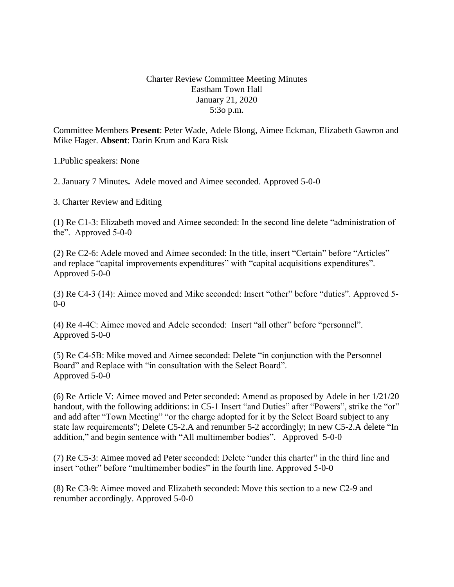## Charter Review Committee Meeting Minutes Eastham Town Hall January 21, 2020 5:3o p.m.

Committee Members **Present**: Peter Wade, Adele Blong, Aimee Eckman, Elizabeth Gawron and Mike Hager. **Absent**: Darin Krum and Kara Risk

1.Public speakers: None

2. January 7 Minutes**.** Adele moved and Aimee seconded. Approved 5-0-0

3. Charter Review and Editing

(1) Re C1-3: Elizabeth moved and Aimee seconded: In the second line delete "administration of the". Approved 5-0-0

(2) Re C2-6: Adele moved and Aimee seconded: In the title, insert "Certain" before "Articles" and replace "capital improvements expenditures" with "capital acquisitions expenditures". Approved 5-0-0

(3) Re C4-3 (14): Aimee moved and Mike seconded: Insert "other" before "duties". Approved 5- 0-0

(4) Re 4-4C: Aimee moved and Adele seconded: Insert "all other" before "personnel". Approved 5-0-0

(5) Re C4-5B: Mike moved and Aimee seconded: Delete "in conjunction with the Personnel Board" and Replace with "in consultation with the Select Board". Approved 5-0-0

(6) Re Article V: Aimee moved and Peter seconded: Amend as proposed by Adele in her 1/21/20 handout, with the following additions: in C5-1 Insert "and Duties" after "Powers", strike the "or" and add after "Town Meeting" "or the charge adopted for it by the Select Board subject to any state law requirements"; Delete C5-2.A and renumber 5-2 accordingly; In new C5-2.A delete "In addition," and begin sentence with "All multimember bodies". Approved 5-0-0

(7) Re C5-3: Aimee moved ad Peter seconded: Delete "under this charter" in the third line and insert "other" before "multimember bodies" in the fourth line. Approved 5-0-0

(8) Re C3-9: Aimee moved and Elizabeth seconded: Move this section to a new C2-9 and renumber accordingly. Approved 5-0-0